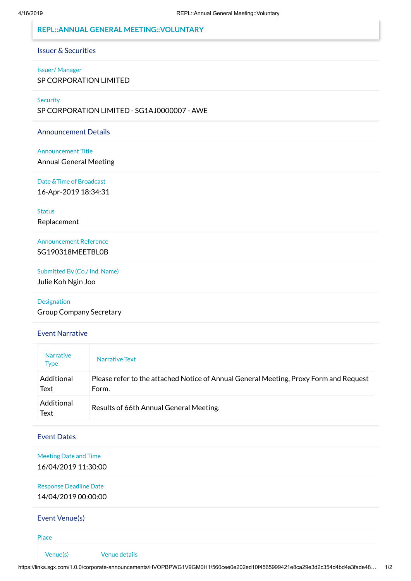## **REPL::ANNUAL GENERAL MEETING::VOLUNTARY**

#### Issuer & Securities

## Issuer/ Manager

SP CORPORATION LIMITED

#### **Security**

SP CORPORATION LIMITED - SG1AJ0000007 - AWE

## Announcement Details

#### Announcement Title

Annual General Meeting

#### Date &Time of Broadcast

16-Apr-2019 18:34:31

## **Status**

Replacement

# Announcement Reference SG190318MEETBL0B

Submitted By (Co./ Ind. Name) Julie Koh Ngin Joo

#### Designation

Group Company Secretary

#### Event Narrative

| <b>Narrative</b><br><b>Type</b> | Narrative Text                                                                                 |
|---------------------------------|------------------------------------------------------------------------------------------------|
| Additional<br>Text              | Please refer to the attached Notice of Annual General Meeting, Proxy Form and Request<br>Form. |
| Additional<br>Text              | Results of 66th Annual General Meeting.                                                        |

# Event Dates

## Meeting Date and Time 16/04/2019 11:30:00

## Response Deadline Date 14/04/2019 00:00:00

## Event Venue(s)

Place

Venue(s) Venue details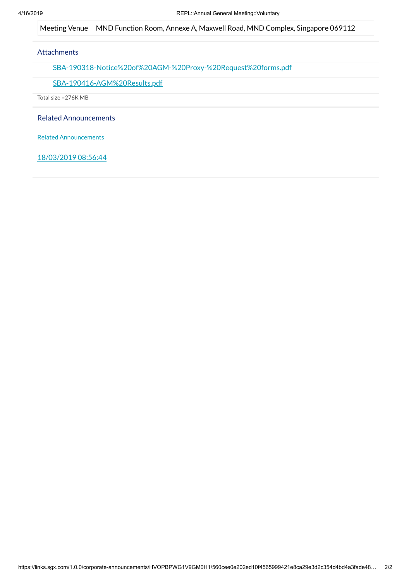Meeting Venue | MND Function Room, Annexe A, Maxwell Road, MND Complex, Singapore 069112

## **Attachments**

[SBA-190318-Notice%20of%20AGM-%20Proxy-%20Request%20forms.pdf](https://links.sgx.com/1.0.0/corporate-announcements/HVOPBPWG1V9GM0H1/SBA-190318-Notice%20of%20AGM-%20Proxy-%20Request%20forms.pdf)

### [SBA-190416-AGM%20Results.pdf](https://links.sgx.com/1.0.0/corporate-announcements/HVOPBPWG1V9GM0H1/SBA-190416-AGM%20Results.pdf)

Total size =276K MB

Related Announcements

Related Announcements

18/03/2019 08:56:44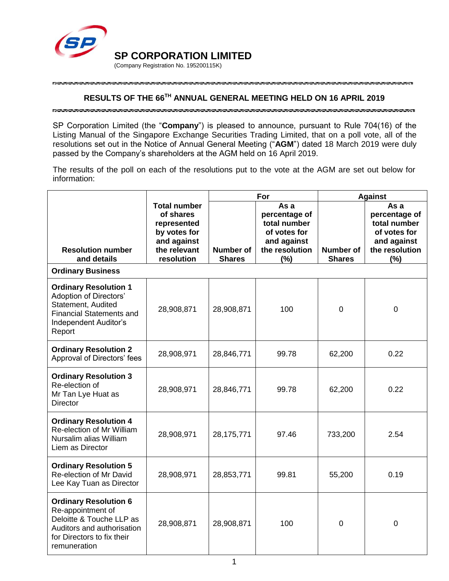

\*\*\*\*\*\*\*\*\*\*\*\*\*\*\*\*\*

# **RESULTS OF THE 66 TH ANNUAL GENERAL MEETING HELD ON 16 APRIL 2019**

SP Corporation Limited (the "**Company**") is pleased to announce, pursuant to Rule 704(16) of the Listing Manual of the Singapore Exchange Securities Trading Limited, that on a poll vote, all of the resolutions set out in the Notice of Annual General Meeting ("**AGM**") dated 18 March 2019 were duly passed by the Company's shareholders at the AGM held on 16 April 2019.

The results of the poll on each of the resolutions put to the vote at the AGM are set out below for information:

|                                                                                                                                                           |                                                                                                              | For                               |                                                                                               | <b>Against</b>                    |                                                                                               |
|-----------------------------------------------------------------------------------------------------------------------------------------------------------|--------------------------------------------------------------------------------------------------------------|-----------------------------------|-----------------------------------------------------------------------------------------------|-----------------------------------|-----------------------------------------------------------------------------------------------|
| <b>Resolution number</b><br>and details                                                                                                                   | <b>Total number</b><br>of shares<br>represented<br>by votes for<br>and against<br>the relevant<br>resolution | <b>Number of</b><br><b>Shares</b> | As a<br>percentage of<br>total number<br>of votes for<br>and against<br>the resolution<br>(%) | <b>Number of</b><br><b>Shares</b> | As a<br>percentage of<br>total number<br>of votes for<br>and against<br>the resolution<br>(%) |
| <b>Ordinary Business</b>                                                                                                                                  |                                                                                                              |                                   |                                                                                               |                                   |                                                                                               |
| <b>Ordinary Resolution 1</b><br><b>Adoption of Directors'</b><br>Statement, Audited<br><b>Financial Statements and</b><br>Independent Auditor's<br>Report | 28,908,871                                                                                                   | 28,908,871                        | 100                                                                                           | 0                                 | $\mathbf 0$                                                                                   |
| <b>Ordinary Resolution 2</b><br>Approval of Directors' fees                                                                                               | 28,908,971                                                                                                   | 28,846,771                        | 99.78                                                                                         | 62,200                            | 0.22                                                                                          |
| <b>Ordinary Resolution 3</b><br>Re-election of<br>Mr Tan Lye Huat as<br>Director                                                                          | 28,908,971                                                                                                   | 28,846,771                        | 99.78                                                                                         | 62,200                            | 0.22                                                                                          |
| <b>Ordinary Resolution 4</b><br>Re-election of Mr William<br>Nursalim alias William<br>Liem as Director                                                   | 28,908,971                                                                                                   | 28,175,771                        | 97.46                                                                                         | 733,200                           | 2.54                                                                                          |
| <b>Ordinary Resolution 5</b><br>Re-election of Mr David<br>Lee Kay Tuan as Director                                                                       | 28,908,971                                                                                                   | 28,853,771                        | 99.81                                                                                         | 55,200                            | 0.19                                                                                          |
| <b>Ordinary Resolution 6</b><br>Re-appointment of<br>Deloitte & Touche LLP as<br>Auditors and authorisation<br>for Directors to fix their<br>remuneration | 28,908,871                                                                                                   | 28,908,871                        | 100                                                                                           | 0                                 | $\mathbf 0$                                                                                   |